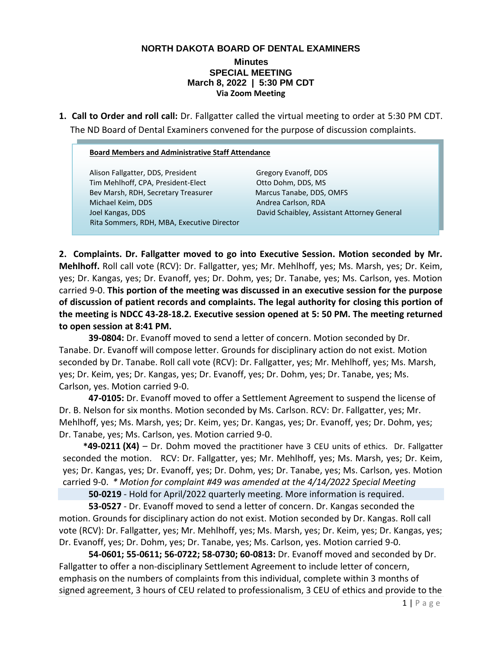## **NORTH DAKOTA BOARD OF DENTAL EXAMINERS**

## **Minutes SPECIAL MEETING March 8, 2022 | 5:30 PM CDT Via Zoom Meeting**

**1. Call to Order and roll call:** Dr. Fallgatter called the virtual meeting to order at 5:30 PM CDT. The ND Board of Dental Examiners convened for the purpose of discussion complaints.

## **Board Members and Administrative Staff Attendance**

Alison Fallgatter, DDS, President Gregory Evanoff, DDS Tim Mehlhoff, CPA, President-Elect Otto Dohm, DDS, MS Bev Marsh, RDH, Secretary Treasurer Marcus Tanabe, DDS, OMFS Michael Keim, DDS Andrea Carlson, RDA Joel Kangas, DDS David Schaibley, Assistant Attorney General Rita Sommers, RDH, MBA, Executive Director

**2. Complaints. Dr. Fallgatter moved to go into Executive Session. Motion seconded by Mr. Mehlhoff.** Roll call vote (RCV): Dr. Fallgatter, yes; Mr. Mehlhoff, yes; Ms. Marsh, yes; Dr. Keim, yes; Dr. Kangas, yes; Dr. Evanoff, yes; Dr. Dohm, yes; Dr. Tanabe, yes; Ms. Carlson, yes. Motion carried 9-0. **This portion of the meeting was discussed in an executive session for the purpose of discussion of patient records and complaints. The legal authority for closing this portion of the meeting is NDCC 43-28-18.2. Executive session opened at 5: 50 PM. The meeting returned to open session at 8:41 PM.** 

**39-0804:** Dr. Evanoff moved to send a letter of concern. Motion seconded by Dr. Tanabe. Dr. Evanoff will compose letter. Grounds for disciplinary action do not exist. Motion seconded by Dr. Tanabe. Roll call vote (RCV): Dr. Fallgatter, yes; Mr. Mehlhoff, yes; Ms. Marsh, yes; Dr. Keim, yes; Dr. Kangas, yes; Dr. Evanoff, yes; Dr. Dohm, yes; Dr. Tanabe, yes; Ms. Carlson, yes. Motion carried 9-0.

**47-0105:** Dr. Evanoff moved to offer a Settlement Agreement to suspend the license of Dr. B. Nelson for six months. Motion seconded by Ms. Carlson. RCV: Dr. Fallgatter, yes; Mr. Mehlhoff, yes; Ms. Marsh, yes; Dr. Keim, yes; Dr. Kangas, yes; Dr. Evanoff, yes; Dr. Dohm, yes; Dr. Tanabe, yes; Ms. Carlson, yes. Motion carried 9-0.

 **\*49-0211 (X4)** – Dr. Dohm moved the practitioner have 3 CEU units of ethics. Dr. Fallgatter seconded the motion. RCV: Dr. Fallgatter, yes; Mr. Mehlhoff, yes; Ms. Marsh, yes; Dr. Keim, yes; Dr. Kangas, yes; Dr. Evanoff, yes; Dr. Dohm, yes; Dr. Tanabe, yes; Ms. Carlson, yes. Motion carried 9-0. *\* Motion for complaint #49 was amended at the 4/14/2022 Special Meeting*

**50-0219** - Hold for April/2022 quarterly meeting. More information is required.

**53-0527** - Dr. Evanoff moved to send a letter of concern. Dr. Kangas seconded the motion. Grounds for disciplinary action do not exist. Motion seconded by Dr. Kangas. Roll call vote (RCV): Dr. Fallgatter, yes; Mr. Mehlhoff, yes; Ms. Marsh, yes; Dr. Keim, yes; Dr. Kangas, yes; Dr. Evanoff, yes; Dr. Dohm, yes; Dr. Tanabe, yes; Ms. Carlson, yes. Motion carried 9-0.

**54-0601; 55-0611; 56-0722; 58-0730; 60-0813:** Dr. Evanoff moved and seconded by Dr. Fallgatter to offer a non-disciplinary Settlement Agreement to include letter of concern, emphasis on the numbers of complaints from this individual, complete within 3 months of signed agreement, 3 hours of CEU related to professionalism, 3 CEU of ethics and provide to the